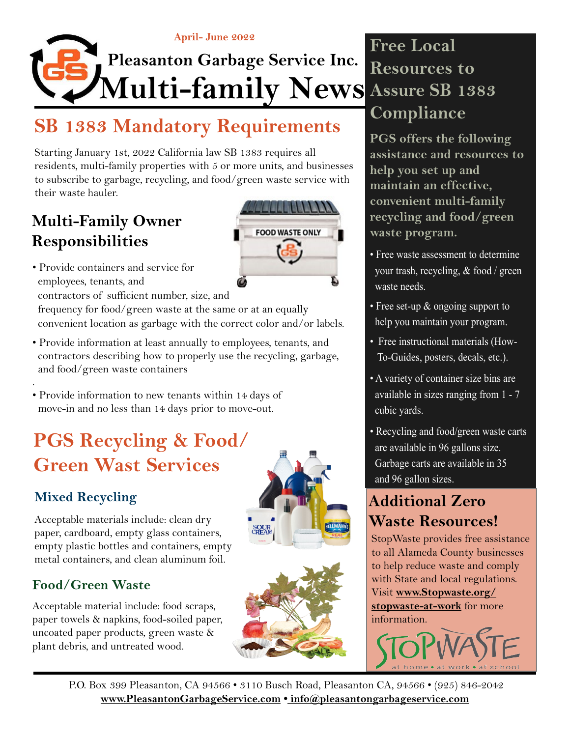

# **SB 1383 Mandatory Requirements**

Starting January 1st, 2022 California law SB 1383 requires all residents, multi-family properties with 5 or more units, and businesses to subscribe to garbage, recycling, and food/green waste service with their waste hauler.

### **Multi-Family Owner Responsibilities**



• Provide containers and service for employees, tenants, and contractors of sufficient number, size, and

 frequency for food/green waste at the same or at an equally convenient location as garbage with the correct color and/or labels.

• Provide information at least annually to employees, tenants, and contractors describing how to properly use the recycling, garbage, and food/green waste containers

. • Provide information to new tenants within 14 days of move-in and no less than 14 days prior to move-out.

# **PGS Recycling & Food/ Green Wast Services**

#### **Mixed Recycling**

Acceptable materials include: clean dry paper, cardboard, empty glass containers, empty plastic bottles and containers, empty metal containers, and clean aluminum foil.

#### **Food/Green Waste**

Acceptable material include: food scraps, paper towels & napkins, food-soiled paper, uncoated paper products, green waste & plant debris, and untreated wood.





### **Free Local Resources to Assure SB 1383 Compliance**

**PGS offers the following assistance and resources to help you set up and maintain an effective, convenient multi-family recycling and food/green waste program.**

- Free waste assessment to determine your trash, recycling, & food / green waste needs.
- Free set-up  $\&$  ongoing support to help you maintain your program.
- Free instructional materials (How- To-Guides, posters, decals, etc.).
- A variety of container size bins are available in sizes ranging from 1 - 7 cubic yards.
- Recycling and food/green waste carts are available in 96 gallons size. Garbage carts are available in 35 and 96 gallon sizes.

### **Additional Zero Waste Resources!**

StopWaste provides free assistance to all Alameda County businesses to help reduce waste and comply with State and local regulations. Visit **[www.Stopwaste.org/](http://www.Stopwaste.org/stopwaste-at-work) [stopwaste-at-work](http://www.Stopwaste.org/stopwaste-at-work)** for more information.